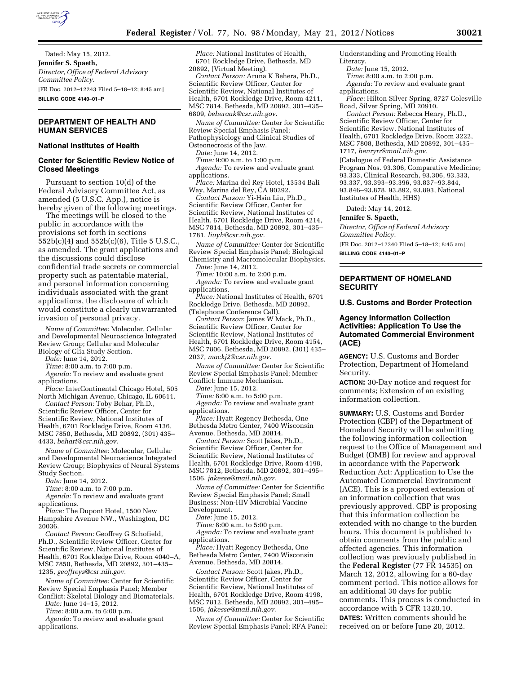

Dated: May 15, 2012. **Jennifer S. Spaeth,**  *Director, Office of Federal Advisory Committee Policy.*  [FR Doc. 2012–12243 Filed 5–18–12; 8:45 am] **BILLING CODE 4140–01–P** 

# **DEPARTMENT OF HEALTH AND HUMAN SERVICES**

#### **National Institutes of Health**

### **Center for Scientific Review Notice of Closed Meetings**

Pursuant to section 10(d) of the Federal Advisory Committee Act, as amended (5 U.S.C. App.), notice is hereby given of the following meetings.

The meetings will be closed to the public in accordance with the provisions set forth in sections  $552b(c)(4)$  and  $552b(c)(6)$ , Title 5 U.S.C. as amended. The grant applications and the discussions could disclose confidential trade secrets or commercial property such as patentable material, and personal information concerning individuals associated with the grant applications, the disclosure of which would constitute a clearly unwarranted invasion of personal privacy.

*Name of Committee:* Molecular, Cellular and Developmental Neuroscience Integrated Review Group; Cellular and Molecular Biology of Glia Study Section.

*Date:* June 14, 2012.

*Time:* 8:00 a.m. to 7:00 p.m.

*Agenda:* To review and evaluate grant applications.

*Place:* InterContinental Chicago Hotel, 505 North Michigan Avenue, Chicago, IL 60611.

*Contact Person:* Toby Behar, Ph.D., Scientific Review Officer, Center for Scientific Review, National Institutes of Health, 6701 Rockledge Drive, Room 4136, MSC 7850, Bethesda, MD 20892, (301) 435– 4433, *[behart@csr.nih.gov.](mailto:behart@csr.nih.gov)* 

*Name of Committee:* Molecular, Cellular and Developmental Neuroscience Integrated Review Group; Biophysics of Neural Systems Study Section.

*Date:* June 14, 2012.

*Time:* 8:00 a.m. to 7:00 p.m.

*Agenda:* To review and evaluate grant applications.

*Place:* The Dupont Hotel, 1500 New Hampshire Avenue NW., Washington, DC 20036.

*Contact Person:* Geoffrey G Schofield, Ph.D., Scientific Review Officer, Center for Scientific Review, National Institutes of Health, 6701 Rockledge Drive, Room 4040–A, MSC 7850, Bethesda, MD 20892, 301–435– 1235, *[geoffreys@csr.nih.gov.](mailto:geoffreys@csr.nih.gov)* 

*Name of Committee:* Center for Scientific Review Special Emphasis Panel; Member Conflict: Skeletal Biology and Biomaterials.

*Date:* June 14–15, 2012.

*Time:* 8:00 a.m. to 6:00 p.m.

*Agenda:* To review and evaluate grant applications.

*Place:* National Institutes of Health, 6701 Rockledge Drive, Bethesda, MD 20892, (Virtual Meeting).

*Contact Person:* Aruna K Behera, Ph.D., Scientific Review Officer, Center for Scientific Review, National Institutes of Health, 6701 Rockledge Drive, Room 4211, MSC 7814, Bethesda, MD 20892, 301–435– 6809, *[beheraak@csr.nih.gov.](mailto:beheraak@csr.nih.gov)* 

*Name of Committee:* Center for Scientific Review Special Emphasis Panel; Pathophysiology and Clinical Studies of Osteonecrosis of the Jaw.

*Date:* June 14, 2012.

*Time:* 9:00 a.m. to 1:00 p.m. *Agenda:* To review and evaluate grant

applications.

*Place:* Marina del Rey Hotel, 13534 Bali Way, Marina del Rey, CA 90292.

*Contact Person:* Yi-Hsin Liu, Ph.D., Scientific Review Officer, Center for Scientific Review, National Institutes of Health, 6701 Rockledge Drive, Room 4214, MSC 7814, Bethesda, MD 20892, 301–435– 1781, *[liuyh@csr.nih.gov.](mailto:liuyh@csr.nih.gov)* 

*Name of Committee:* Center for Scientific Review Special Emphasis Panel; Biological Chemistry and Macromolecular Biophysics.

*Date:* June 14, 2012.

*Time:* 10:00 a.m. to 2:00 p.m.

*Agenda:* To review and evaluate grant applications.

*Place:* National Institutes of Health, 6701 Rockledge Drive, Bethesda, MD 20892, (Telephone Conference Call).

*Contact Person*: James W Mack, Ph.D., Scientific Review Officer, Center for Scientific Review, National Institutes of Health, 6701 Rockledge Drive, Room 4154, MSC 7806, Bethesda, MD 20892, (301) 435– 2037, *[mackj2@csr.nih.gov.](mailto:mackj2@csr.nih.gov)* 

*Name of Committee:* Center for Scientific Review Special Emphasis Panel; Member Conflict: Immune Mechanism.

*Date:* June 15, 2012.

*Time:* 8:00 a.m. to 5:00 p.m.

*Agenda:* To review and evaluate grant applications.

*Place:* Hyatt Regency Bethesda, One Bethesda Metro Center, 7400 Wisconsin Avenue, Bethesda, MD 20814.

*Contact Person:* Scott Jakes, Ph.D., Scientific Review Officer, Center for Scientific Review, National Institutes of Health, 6701 Rockledge Drive, Room 4198, MSC 7812, Bethesda, MD 20892, 301–495– 1506, *[jakesse@mail.nih.gov.](mailto:jakesse@mail.nih.gov)* 

*Name of Committee:* Center for Scientific Review Special Emphasis Panel; Small Business: Non-HIV Microbial Vaccine Development.

*Date:* June 15, 2012.

*Time:* 8:00 a.m. to 5:00 p.m.

*Agenda:* To review and evaluate grant applications.

*Place:* Hyatt Regency Bethesda, One Bethesda Metro Center, 7400 Wisconsin Avenue, Bethesda, MD 20814.

*Contact Person:* Scott Jakes, Ph.D., Scientific Review Officer, Center for Scientific Review, National Institutes of Health, 6701 Rockledge Drive, Room 4198, MSC 7812, Bethesda, MD 20892, 301–495– 1506, *[jakesse@mail.nih.gov.](mailto:jakesse@mail.nih.gov)* 

*Name of Committee:* Center for Scientific Review Special Emphasis Panel; RFA Panel: Understanding and Promoting Health

Literacy. *Date:* June 15, 2012.

*Time:* 8:00 a.m. to 2:00 p.m.

Agenda: To review and evaluate grant applications.

*Place:* Hilton Silver Spring, 8727 Colesville Road, Silver Spring, MD 20910.

*Contact Person:* Rebecca Henry, Ph.D., Scientific Review Officer, Center for Scientific Review, National Institutes of Health, 6701 Rockledge Drive, Room 3222, MSC 7808, Bethesda, MD 20892, 301–435– 1717, *[henryrr@mail.nih.gov.](mailto:henryrr@mail.nih.gov)* 

(Catalogue of Federal Domestic Assistance Program Nos. 93.306, Comparative Medicine; 93.333, Clinical Research, 93.306, 93.333, 93.337, 93.393–93.396, 93.837–93.844, 93.846–93.878, 93.892, 93.893, National Institutes of Health, HHS)

Dated: May 14, 2012.

#### **Jennifer S. Spaeth,**

*Director, Office of Federal Advisory Committee Policy.* 

[FR Doc. 2012–12240 Filed 5–18–12; 8:45 am] **BILLING CODE 4140–01–P** 

## **DEPARTMENT OF HOMELAND SECURITY**

**U.S. Customs and Border Protection** 

### **Agency Information Collection Activities: Application To Use the Automated Commercial Environment (ACE)**

**AGENCY:** U.S. Customs and Border Protection, Department of Homeland Security.

**ACTION:** 30-Day notice and request for comments; Extension of an existing information collection.

**SUMMARY:** U.S. Customs and Border Protection (CBP) of the Department of Homeland Security will be submitting the following information collection request to the Office of Management and Budget (OMB) for review and approval in accordance with the Paperwork Reduction Act: Application to Use the Automated Commercial Environment (ACE). This is a proposed extension of an information collection that was previously approved. CBP is proposing that this information collection be extended with no change to the burden hours. This document is published to obtain comments from the public and affected agencies. This information collection was previously published in the **Federal Register** (77 FR 14535) on March 12, 2012, allowing for a 60-day comment period. This notice allows for an additional 30 days for public comments. This process is conducted in accordance with 5 CFR 1320.10. **DATES:** Written comments should be received on or before June 20, 2012.